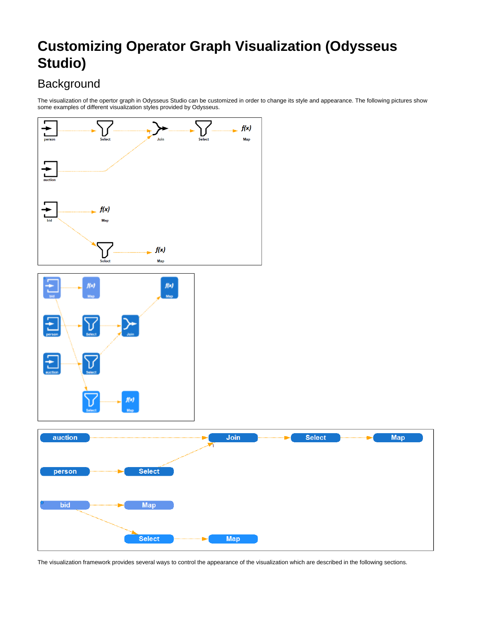# **Customizing Operator Graph Visualization (Odysseus Studio)**

# **Background**

The visualization of the opertor graph in Odysseus Studio can be customized in order to change its style and appearance. The following pictures show some examples of different visualization styles provided by Odysseus.



The visualization framework provides several ways to control the appearance of the visualization which are described in the following sections.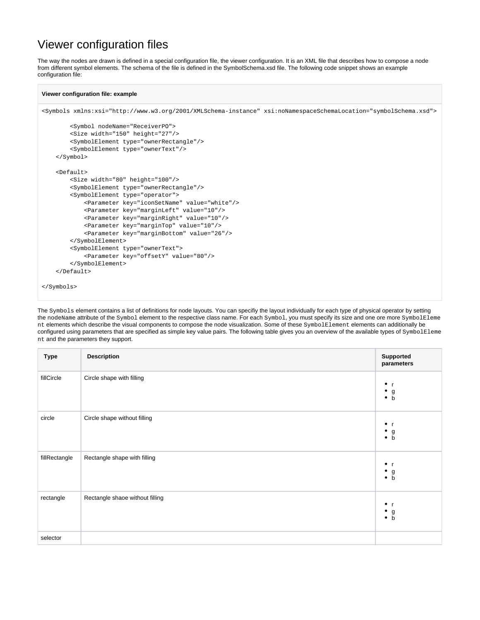### Viewer configuration files

The way the nodes are drawn is defined in a special configuration file, the viewer configuration. It is an XML file that describes how to compose a node from different symbol elements. The schema of the file is defined in the SymbolSchema.xsd file. The following code snippet shows an example configuration file:

#### **Viewer configuration file: example**

```
<Symbols xmlns:xsi="http://www.w3.org/2001/XMLSchema-instance" xsi:noNamespaceSchemaLocation="symbolSchema.xsd">
         <Symbol nodeName="ReceiverPO">
         <Size width="150" height="27"/>
         <SymbolElement type="ownerRectangle"/>
         <SymbolElement type="ownerText"/>
     </Symbol>
     <Default>
         <Size width="80" height="100"/>
         <SymbolElement type="ownerRectangle"/>
         <SymbolElement type="operator">
             <Parameter key="iconSetName" value="white"/>
             <Parameter key="marginLeft" value="10"/>
             <Parameter key="marginRight" value="10"/>
             <Parameter key="marginTop" value="10"/>
             <Parameter key="marginBottom" value="26"/>
         </SymbolElement>
         <SymbolElement type="ownerText">
             <Parameter key="offsetY" value="80"/>
         </SymbolElement>
     </Default>
</Symbols>
```
The Symbols element contains a list of definitions for node layouts. You can specifiy the layout individually for each type of physical operator by setting the nodeName attribute of the Symbol element to the respective class name. For each Symbol, you must specify its size and one ore more SymbolEleme nt elements which describe the visual components to compose the node visualization. Some of these SymbolElement elements can additionally be configured using parameters that are specified as simple key value pairs. The following table gives you an overview of the available types of SymbolEleme nt and the parameters they support.

| <b>Type</b>   | <b>Description</b>              | Supported<br>parameters                           |
|---------------|---------------------------------|---------------------------------------------------|
| fillCircle    | Circle shape with filling       | $\bullet$<br>$\bullet$<br>$\bullet$ g<br>b        |
| circle        | Circle shape without filling    | $\bullet$<br>$\bullet$ g<br>$\bullet$ b           |
| fillRectangle | Rectangle shape with filling    | $\bullet$<br>- r<br>$\bullet$<br>$\bullet$ g<br>b |
| rectangle     | Rectangle shaoe without filling | $\bullet$ r<br>$\bullet$ g<br>$\bullet$ b         |
| selector      |                                 |                                                   |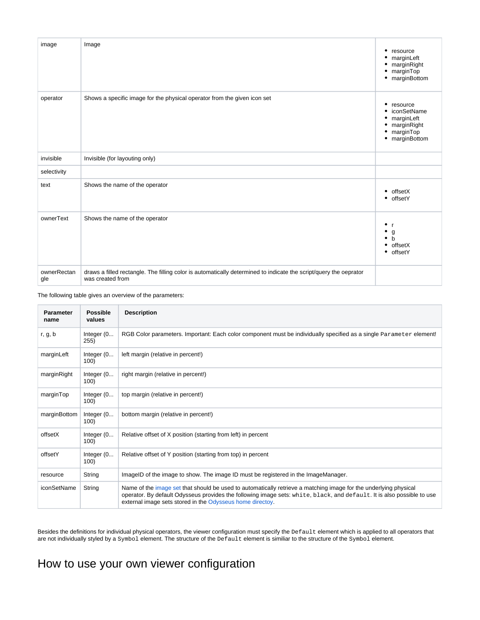| image              | Image                                                                                                                                 | resource<br>٠<br>• marginLeft<br>marginRight<br>marginTop<br>marginBottom<br>٠                          |
|--------------------|---------------------------------------------------------------------------------------------------------------------------------------|---------------------------------------------------------------------------------------------------------|
| operator           | Shows a specific image for the physical operator from the given icon set                                                              | resource<br>٠<br>iconSetName<br>٠<br>marginLeft<br>٠<br>marginRight<br>marginTop<br>٠<br>• marginBottom |
| invisible          | Invisible (for layouting only)                                                                                                        |                                                                                                         |
| selectivity        |                                                                                                                                       |                                                                                                         |
| text               | Shows the name of the operator                                                                                                        | offsetX<br>٠<br>• offsetY                                                                               |
| ownerText          | Shows the name of the operator                                                                                                        | $^{\bullet}$ r<br>٠<br>g<br>$\bullet$<br>$\mathbf b$<br>offsetX<br>$\bullet$<br>• offsetY               |
| ownerRectan<br>gle | draws a filled rectangle. The filling color is automatically determined to indicate the script/query the oeprator<br>was created from |                                                                                                         |

The following table gives an overview of the parameters:

| <b>Parameter</b><br>name | <b>Possible</b><br>values | <b>Description</b>                                                                                                                                                                                                                                                                                      |
|--------------------------|---------------------------|---------------------------------------------------------------------------------------------------------------------------------------------------------------------------------------------------------------------------------------------------------------------------------------------------------|
| r, g, b                  | Integer (0<br>255)        | RGB Color parameters. Important: Each color component must be individually specified as a single Parameter element!                                                                                                                                                                                     |
| marginLeft               | Integer (0<br>100)        | left margin (relative in percent!)                                                                                                                                                                                                                                                                      |
| marginRight              | Integer $(0$<br>100)      | right margin (relative in percent!)                                                                                                                                                                                                                                                                     |
| marginTop                | Integer (0<br>100)        | top margin (relative in percent!)                                                                                                                                                                                                                                                                       |
| marginBottom             | Integer $(0$<br>100)      | bottom margin (relative in percent!)                                                                                                                                                                                                                                                                    |
| offsetX                  | Integer (0<br>100)        | Relative offset of X position (starting from left) in percent                                                                                                                                                                                                                                           |
| offsetY                  | Integer $(0$<br>100)      | Relative offset of Y position (starting from top) in percent                                                                                                                                                                                                                                            |
| resource                 | String                    | ImageID of the image to show. The image ID must be registered in the ImageManager.                                                                                                                                                                                                                      |
| iconSetName              | String                    | Name of the image set that should be used to automatically retrieve a matching image for the underlying physical<br>operator. By default Odysseus provides the following image sets: white, black, and default. It is also possible to use<br>external image sets stored in the Odysseus home directoy. |

Besides the definitions for individual physical operators, the viewer configuration must specify the Default element which is applied to all operators that are not individually styled by a  $\text{Symbol}$  element. The structure of the  $\texttt{Default}$  element is similiar to the structure of the  $\texttt{Symbol}$  element.

## How to use your own viewer configuration